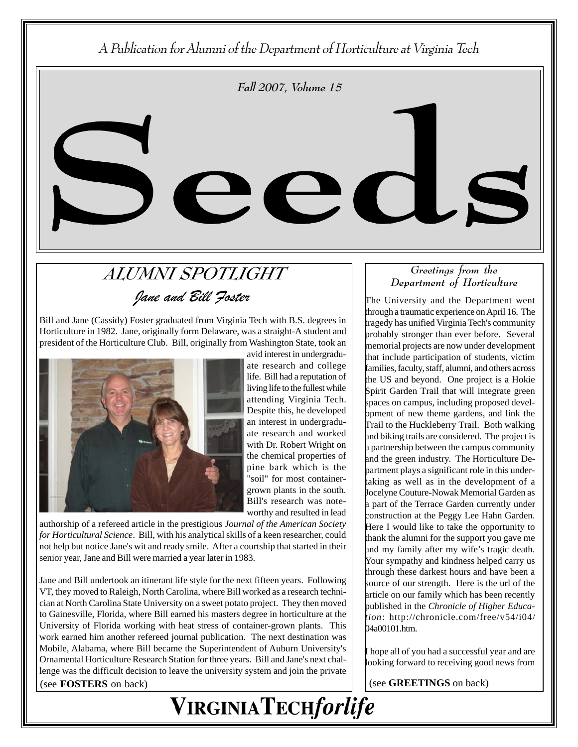## A Publication for Alumni of the Department of Horticulture at Virginia Tech



## *ALUMNI SPOTLIGHT Jane and Bill Foster*

Bill and Jane (Cassidy) Foster graduated from Virginia Tech with B.S. degrees in Horticulture in 1982. Jane, originally form Delaware, was a straight-A student and president of the Horticulture Club. Bill, originally from Washington State, took an



avid interest in undergraduate research and college life. Bill had a reputation of living life to the fullest while attending Virginia Tech. Despite this, he developed an interest in undergraduate research and worked with Dr. Robert Wright on the chemical properties of pine bark which is the "soil" for most containergrown plants in the south. Bill's research was noteworthy and resulted in lead

authorship of a refereed article in the prestigious *Journal of the American Society for Horticultural Science*. Bill, with his analytical skills of a keen researcher, could not help but notice Jane's wit and ready smile. After a courtship that started in their senior year, Jane and Bill were married a year later in 1983.

Jane and Bill undertook an itinerant life style for the next fifteen years. Following VT, they moved to Raleigh, North Carolina, where Bill worked as a research technician at North Carolina State University on a sweet potato project. They then moved to Gainesville, Florida, where Bill earned his masters degree in horticulture at the University of Florida working with heat stress of container-grown plants. This work earned him another refereed journal publication. The next destination was Mobile, Alabama, where Bill became the Superintendent of Auburn University's Ornamental Horticulture Research Station for three years. Bill and Jane's next challenge was the difficult decision to leave the university system and join the private (see **FOSTERS** on back) (see **GREETINGS** on back)

#### *Greetings from the Department of Horticulture*

The University and the Department went through a traumatic experience on April 16. The tragedy has unified Virginia Tech's community probably stronger than ever before. Several memorial projects are now under development that include participation of students, victim families, faculty, staff, alumni, and others across the US and beyond. One project is a Hokie Spirit Garden Trail that will integrate green spaces on campus, including proposed development of new theme gardens, and link the Trail to the Huckleberry Trail. Both walking and biking trails are considered. The project is a partnership between the campus community and the green industry. The Horticulture Department plays a significant role in this undertaking as well as in the development of a Jocelyne Couture-Nowak Memorial Garden as a part of the Terrace Garden currently under construction at the Peggy Lee Hahn Garden. Here I would like to take the opportunity to thank the alumni for the support you gave me and my family after my wife's tragic death. Your sympathy and kindness helped carry us through these darkest hours and have been a source of our strength. Here is the url of the article on our family which has been recently published in the *Chronicle of Higher Education*: http://chronicle.com/free/v54/i04/ 04a00101.htm.

hope all of you had a successful year and are ooking forward to receiving good news from

**VIRGINIATECHforlife**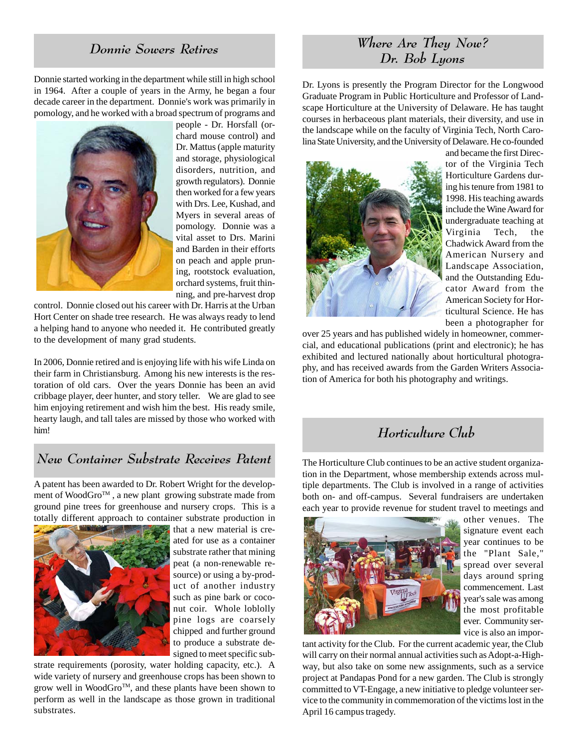### *Donnie Sowers Retires*

Donnie started working in the department while still in high school in 1964. After a couple of years in the Army, he began a four decade career in the department. Donnie's work was primarily in pomology, and he worked with a broad spectrum of programs and



people - Dr. Horsfall (orchard mouse control) and Dr. Mattus (apple maturity and storage, physiological disorders, nutrition, and growth regulators). Donnie then worked for a few years with Drs. Lee, Kushad, and Myers in several areas of pomology. Donnie was a vital asset to Drs. Marini and Barden in their efforts on peach and apple pruning, rootstock evaluation, orchard systems, fruit thinning, and pre-harvest drop

control. Donnie closed out his career with Dr. Harris at the Urban Hort Center on shade tree research. He was always ready to lend a helping hand to anyone who needed it. He contributed greatly to the development of many grad students.

In 2006, Donnie retired and is enjoying life with his wife Linda on their farm in Christiansburg. Among his new interests is the restoration of old cars. Over the years Donnie has been an avid cribbage player, deer hunter, and story teller. We are glad to see him enjoying retirement and wish him the best. His ready smile, hearty laugh, and tall tales are missed by those who worked with him!

## *New Container Substrate Receives Patent* The Horticulture Club continues to be an active student organiza-

A patent has been awarded to Dr. Robert Wright for the development of WoodGro<sup>™</sup>, a new plant growing substrate made from ground pine trees for greenhouse and nursery crops. This is a totally different approach to container substrate production in



that a new material is created for use as a container substrate rather that mining peat (a non-renewable resource) or using a by-product of another industry such as pine bark or coconut coir. Whole loblolly pine logs are coarsely chipped and further ground to produce a substrate designed to meet specific sub-

strate requirements (porosity, water holding capacity, etc.). A wide variety of nursery and greenhouse crops has been shown to grow well in WoodGro™, and these plants have been shown to perform as well in the landscape as those grown in traditional substrates.

## *Where Are They Now? Dr. Bob Lyons*

Dr. Lyons is presently the Program Director for the Longwood Graduate Program in Public Horticulture and Professor of Landscape Horticulture at the University of Delaware. He has taught courses in herbaceous plant materials, their diversity, and use in the landscape while on the faculty of Virginia Tech, North Carolina State University, and the University of Delaware. He co-founded



and became the first Director of the Virginia Tech Horticulture Gardens during his tenure from 1981 to 1998. His teaching awards include the Wine Award for undergraduate teaching at Virginia Tech, the Chadwick Award from the American Nursery and Landscape Association, and the Outstanding Educator Award from the American Society for Horticultural Science. He has been a photographer for

over 25 years and has published widely in homeowner, commercial, and educational publications (print and electronic); he has exhibited and lectured nationally about horticultural photography, and has received awards from the Garden Writers Association of America for both his photography and writings.

## *Horticulture Club*

tion in the Department, whose membership extends across multiple departments. The Club is involved in a range of activities both on- and off-campus. Several fundraisers are undertaken each year to provide revenue for student travel to meetings and



other venues. The signature event each year continues to be the "Plant Sale," spread over several days around spring commencement. Last year's sale was among the most profitable ever. Community service is also an impor-

tant activity for the Club. For the current academic year, the Club will carry on their normal annual activities such as Adopt-a-Highway, but also take on some new assignments, such as a service project at Pandapas Pond for a new garden. The Club is strongly committed to VT-Engage, a new initiative to pledge volunteer service to the community in commemoration of the victims lost in the April 16 campus tragedy.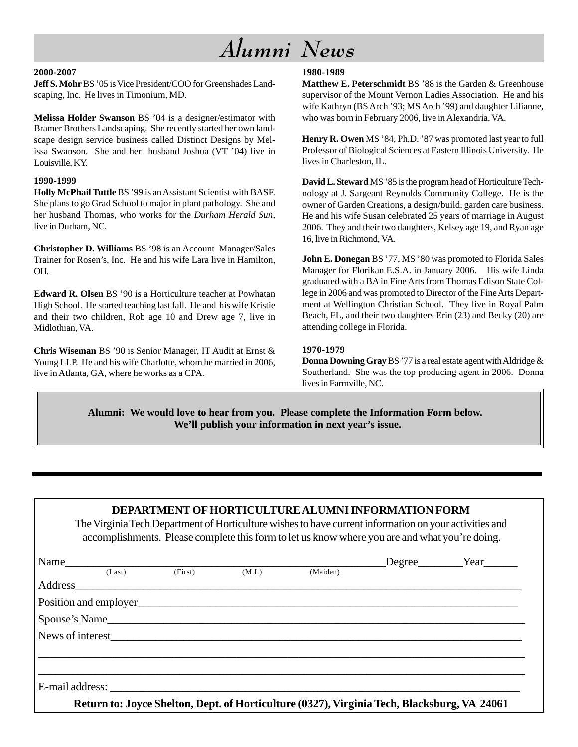# *Alumni News*

#### **2000-2007**

**Jeff S. Mohr** BS '05 is Vice President/COO for Greenshades Landscaping, Inc. He lives in Timonium, MD.

**Melissa Holder Swanson** BS '04 is a designer/estimator with Bramer Brothers Landscaping. She recently started her own landscape design service business called Distinct Designs by Melissa Swanson. She and her husband Joshua (VT '04) live in Louisville, KY.

#### **1990-1999**

**Holly McPhail Tuttle** BS '99 is an Assistant Scientist with BASF. She plans to go Grad School to major in plant pathology. She and her husband Thomas, who works for the *Durham Herald Sun*, live in Durham, NC.

**Christopher D. Williams** BS '98 is an Account Manager/Sales Trainer for Rosen's, Inc. He and his wife Lara live in Hamilton, OH.

**Edward R. Olsen** BS '90 is a Horticulture teacher at Powhatan High School. He started teaching last fall. He and his wife Kristie and their two children, Rob age 10 and Drew age 7, live in Midlothian, VA.

**Chris Wiseman** BS '90 is Senior Manager, IT Audit at Ernst & Young LLP. He and his wife Charlotte, whom he married in 2006, live in Atlanta, GA, where he works as a CPA.

#### **1980-1989**

**Matthew E. Peterschmidt** BS '88 is the Garden & Greenhouse supervisor of the Mount Vernon Ladies Association. He and his wife Kathryn (BS Arch '93; MS Arch '99) and daughter Lilianne, who was born in February 2006, live in Alexandria, VA.

**Henry R. Owen** MS '84, Ph.D. '87 was promoted last year to full Professor of Biological Sciences at Eastern Illinois University. He lives in Charleston, IL.

**David L. Steward** MS '85 is the program head of Horticulture Technology at J. Sargeant Reynolds Community College. He is the owner of Garden Creations, a design/build, garden care business. He and his wife Susan celebrated 25 years of marriage in August 2006. They and their two daughters, Kelsey age 19, and Ryan age 16, live in Richmond, VA.

**John E. Donegan** BS '77, MS '80 was promoted to Florida Sales Manager for Florikan E.S.A. in January 2006. His wife Linda graduated with a BA in Fine Arts from Thomas Edison State College in 2006 and was promoted to Director of the Fine Arts Department at Wellington Christian School. They live in Royal Palm Beach, FL, and their two daughters Erin (23) and Becky (20) are attending college in Florida.

#### **1970-1979**

**Donna Downing Gray** BS '77 is a real estate agent with Aldridge & Southerland. She was the top producing agent in 2006. Donna lives in Farmville, NC.

**Alumni: We would love to hear from you. Please complete the Information Form below. We'll publish your information in next year's issue.**

#### **DEPARTMENT OF HORTICULTURE ALUMNI INFORMATION FORM**

The Virginia Tech Department of Horticulture wishes to have current information on your activities and accomplishments. Please complete this form to let us know where you are and what you're doing.

|        |                    |          |                                                                                             | Degree Year |
|--------|--------------------|----------|---------------------------------------------------------------------------------------------|-------------|
| (Last) | $(Hirst)$ $(M.I.)$ | (Maiden) |                                                                                             |             |
|        |                    | Address  |                                                                                             |             |
|        |                    |          | Position and employer<br><u>Example 2001</u>                                                |             |
|        |                    |          | Spouse's Name                                                                               |             |
|        |                    |          |                                                                                             |             |
|        |                    |          |                                                                                             |             |
|        |                    |          |                                                                                             |             |
|        |                    |          |                                                                                             |             |
|        |                    |          | Return to: Joyce Shelton, Dept. of Horticulture (0327), Virginia Tech, Blacksburg, VA 24061 |             |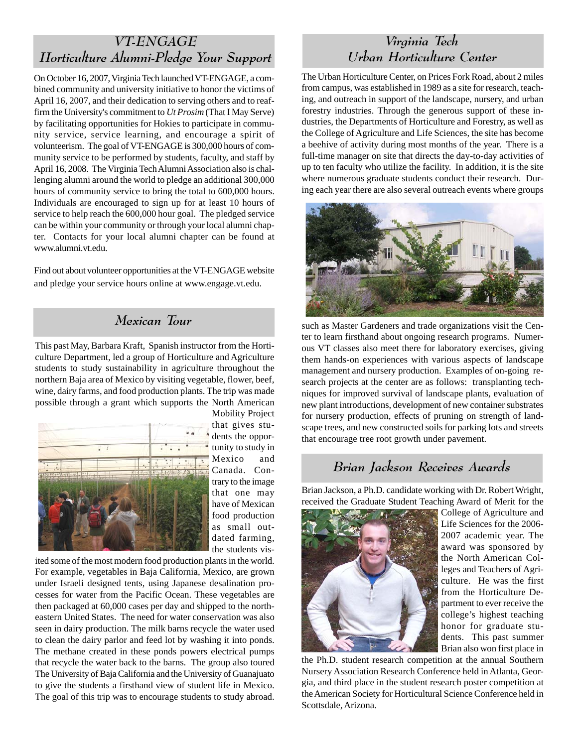## *VT-ENGAGE Horticulture Alumni-Pledge Your Support*

On October 16, 2007, Virginia Tech launched VT-ENGAGE, a combined community and university initiative to honor the victims of April 16, 2007, and their dedication to serving others and to reaffirm the University's commitment to *Ut Prosim* (That I May Serve) by facilitating opportunities for Hokies to participate in community service, service learning, and encourage a spirit of volunteerism. The goal of VT-ENGAGE is 300,000 hours of community service to be performed by students, faculty, and staff by April 16, 2008. The Virginia Tech Alumni Association also is challenging alumni around the world to pledge an additional 300,000 hours of community service to bring the total to 600,000 hours. Individuals are encouraged to sign up for at least 10 hours of service to help reach the 600,000 hour goal. The pledged service can be within your community or through your local alumni chapter. Contacts for your local alumni chapter can be found at www.alumni.vt.edu.

Find out about volunteer opportunities at the VT-ENGAGE website and pledge your service hours online at www.engage.vt.edu.

## *Mexican Tour*

This past May, Barbara Kraft, Spanish instructor from the Horticulture Department, led a group of Horticulture and Agriculture students to study sustainability in agriculture throughout the northern Baja area of Mexico by visiting vegetable, flower, beef, wine, dairy farms, and food production plants. The trip was made possible through a grant which supports the North American



Mobility Project that gives students the opportunity to study in Mexico and Canada. Contrary to the image that one may have of Mexican food production as small outdated farming, the students vis-

ited some of the most modern food production plants in the world. For example, vegetables in Baja California, Mexico, are grown under Israeli designed tents, using Japanese desalination processes for water from the Pacific Ocean. These vegetables are then packaged at 60,000 cases per day and shipped to the northeastern United States. The need for water conservation was also seen in dairy production. The milk barns recycle the water used to clean the dairy parlor and feed lot by washing it into ponds. The methane created in these ponds powers electrical pumps that recycle the water back to the barns. The group also toured The University of Baja California and the University of Guanajuato to give the students a firsthand view of student life in Mexico. The goal of this trip was to encourage students to study abroad.

## *Virginia Tech Urban Horticulture Center*

The Urban Horticulture Center, on Prices Fork Road, about 2 miles from campus, was established in 1989 as a site for research, teaching, and outreach in support of the landscape, nursery, and urban forestry industries. Through the generous support of these industries, the Departments of Horticulture and Forestry, as well as the College of Agriculture and Life Sciences, the site has become a beehive of activity during most months of the year. There is a full-time manager on site that directs the day-to-day activities of up to ten faculty who utilize the facility. In addition, it is the site where numerous graduate students conduct their research. During each year there are also several outreach events where groups



such as Master Gardeners and trade organizations visit the Center to learn firsthand about ongoing research programs. Numerous VT classes also meet there for laboratory exercises, giving them hands-on experiences with various aspects of landscape management and nursery production. Examples of on-going research projects at the center are as follows: transplanting techniques for improved survival of landscape plants, evaluation of new plant introductions, development of new container substrates for nursery production, effects of pruning on strength of landscape trees, and new constructed soils for parking lots and streets that encourage tree root growth under pavement.

## *Brian Jackson Receives Awards*

Brian Jackson, a Ph.D. candidate working with Dr. Robert Wright, received the Graduate Student Teaching Award of Merit for the



College of Agriculture and Life Sciences for the 2006- 2007 academic year. The award was sponsored by the North American Colleges and Teachers of Agriculture. He was the first from the Horticulture Department to ever receive the college's highest teaching honor for graduate students. This past summer Brian also won first place in

the Ph.D. student research competition at the annual Southern Nursery Association Research Conference held in Atlanta, Georgia, and third place in the student research poster competition at the American Society for Horticultural Science Conference held in Scottsdale, Arizona.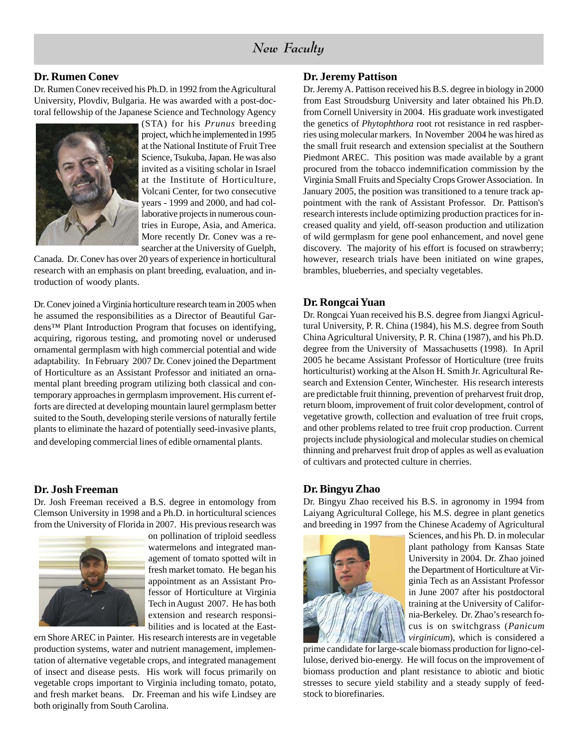## *New Faculty*

#### **Dr. Rumen Conev**

Dr. Rumen Conev received his Ph.D. in 1992 from the Agricultural University, Plovdiv, Bulgaria. He was awarded with a post-doctoral fellowship of the Japanese Science and Technology Agency



(STA) for his *Prunus* breeding project, which he implemented in 1995 at the National Institute of Fruit Tree Science, Tsukuba, Japan. He was also invited as a visiting scholar in Israel at the Institute of Horticulture, Volcani Center, for two consecutive years - 1999 and 2000, and had collaborative projects in numerous countries in Europe, Asia, and America. More recently Dr. Conev was a researcher at the University of Guelph,

Canada. Dr. Conev has over 20 years of experience in horticultural research with an emphasis on plant breeding, evaluation, and introduction of woody plants.

Dr. Conev joined a Virginia horticulture research team in 2005 when he assumed the responsibilities as a Director of Beautiful Gardens™ Plant Introduction Program that focuses on identifying, acquiring, rigorous testing, and promoting novel or underused ornamental germplasm with high commercial potential and wide adaptability. In February 2007 Dr. Conev joined the Department of Horticulture as an Assistant Professor and initiated an ornamental plant breeding program utilizing both classical and contemporary approaches in germplasm improvement. His current efforts are directed at developing mountain laurel germplasm better suited to the South, developing sterile versions of naturally fertile plants to eliminate the hazard of potentially seed-invasive plants, and developing commercial lines of edible ornamental plants.

#### **Dr. Josh Freeman**

Dr. Josh Freeman received a B.S. degree in entomology from Clemson University in 1998 and a Ph.D. in horticultural sciences from the University of Florida in 2007. His previous research was



on pollination of triploid seedless watermelons and integrated management of tomato spotted wilt in fresh market tomato. He began his appointment as an Assistant Professor of Horticulture at Virginia Tech in August 2007. He has both extension and research responsibilities and is located at the East-

ern Shore AREC in Painter. His research interests are in vegetable production systems, water and nutrient management, implementation of alternative vegetable crops, and integrated management of insect and disease pests. His work will focus primarily on vegetable crops important to Virginia including tomato, potato, and fresh market beans. Dr. Freeman and his wife Lindsey are both originally from South Carolina.

#### **Dr. Jeremy Pattison**

Dr. Jeremy A. Pattison received his B.S. degree in biology in 2000 from East Stroudsburg University and later obtained his Ph.D. from Cornell University in 2004. His graduate work investigated the genetics of *Phytophthora* root rot resistance in red raspberries using molecular markers. In November 2004 he was hired as the small fruit research and extension specialist at the Southern Piedmont AREC. This position was made available by a grant procured from the tobacco indemnification commission by the Virginia Small Fruits and Specialty Crops Grower Association. In January 2005, the position was transitioned to a tenure track appointment with the rank of Assistant Professor. Dr. Pattison's research interests include optimizing production practices for increased quality and yield, off-season production and utilization of wild germplasm for gene pool enhancement, and novel gene discovery. The majority of his effort is focused on strawberry; however, research trials have been initiated on wine grapes, brambles, blueberries, and specialty vegetables.

#### **Dr. Rongcai Yuan**

Dr. Rongcai Yuan received his B.S. degree from Jiangxi Agricultural University, P. R. China (1984), his M.S. degree from South China Agricultural University, P. R. China (1987), and his Ph.D. degree from the University of Massachusetts (1998). In April 2005 he became Assistant Professor of Horticulture (tree fruits horticulturist) working at the Alson H. Smith Jr. Agricultural Research and Extension Center, Winchester. His research interests are predictable fruit thinning, prevention of preharvest fruit drop, return bloom, improvement of fruit color development, control of vegetative growth, collection and evaluation of tree fruit crops, and other problems related to tree fruit crop production. Current projects include physiological and molecular studies on chemical thinning and preharvest fruit drop of apples as well as evaluation of cultivars and protected culture in cherries.

#### **Dr. Bingyu Zhao**

Dr. Bingyu Zhao received his B.S. in agronomy in 1994 from Laiyang Agricultural College, his M.S. degree in plant genetics and breeding in 1997 from the Chinese Academy of Agricultural



Sciences, and his Ph. D. in molecular plant pathology from Kansas State University in 2004. Dr. Zhao joined the Department of Horticulture at Virginia Tech as an Assistant Professor in June 2007 after his postdoctoral training at the University of California-Berkeley. Dr. Zhao's research focus is on switchgrass (*Panicum virginicum*), which is considered a

prime candidate for large-scale biomass production for ligno-cellulose, derived bio-energy. He will focus on the improvement of biomass production and plant resistance to abiotic and biotic stresses to secure yield stability and a steady supply of feedstock to biorefinaries.